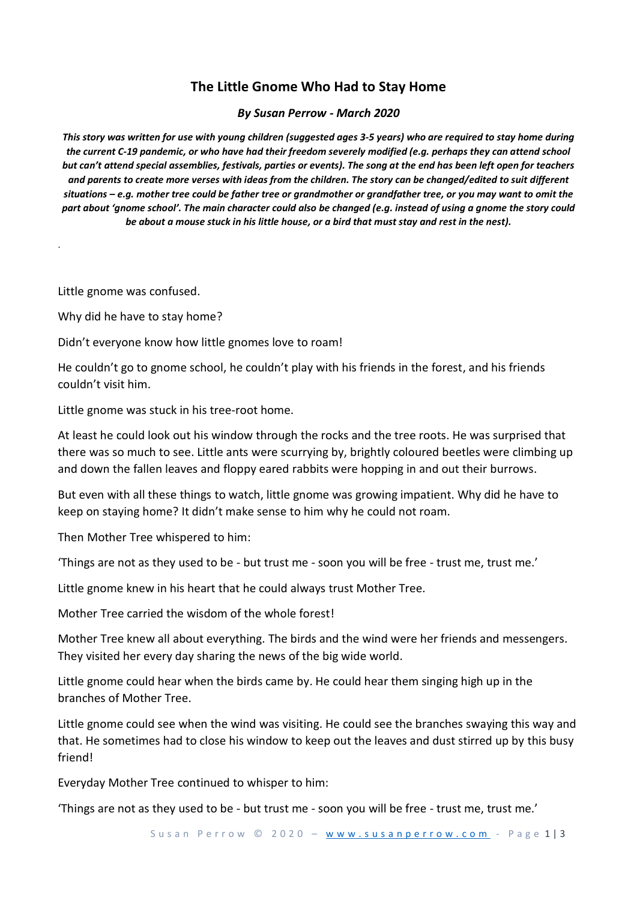## **The Little Gnome Who Had to Stay Home**

## *By Susan Perrow - March 2020*

*This story was written for use with young children (suggested ages 3-5 years) who are required to stay home during the current C-19 pandemic, or who have had their freedom severely modified (e.g. perhaps they can attend school but can't attend special assemblies, festivals, parties or events). The song at the end has been left open for teachers and parents to create more verses with ideas from the children. The story can be changed/edited to suit different situations – e.g. mother tree could be father tree or grandmother or grandfather tree, or you may want to omit the part about 'gnome school'. The main character could also be changed (e.g. instead of using a gnome the story could be about a mouse stuck in his little house, or a bird that must stay and rest in the nest).*

Little gnome was confused.

.

Why did he have to stay home?

Didn't everyone know how little gnomes love to roam!

He couldn't go to gnome school, he couldn't play with his friends in the forest, and his friends couldn't visit him.

Little gnome was stuck in his tree-root home.

At least he could look out his window through the rocks and the tree roots. He was surprised that there was so much to see. Little ants were scurrying by, brightly coloured beetles were climbing up and down the fallen leaves and floppy eared rabbits were hopping in and out their burrows.

But even with all these things to watch, little gnome was growing impatient. Why did he have to keep on staying home? It didn't make sense to him why he could not roam.

Then Mother Tree whispered to him:

'Things are not as they used to be - but trust me - soon you will be free - trust me, trust me.'

Little gnome knew in his heart that he could always trust Mother Tree.

Mother Tree carried the wisdom of the whole forest!

Mother Tree knew all about everything. The birds and the wind were her friends and messengers. They visited her every day sharing the news of the big wide world.

Little gnome could hear when the birds came by. He could hear them singing high up in the branches of Mother Tree.

Little gnome could see when the wind was visiting. He could see the branches swaying this way and that. He sometimes had to close his window to keep out the leaves and dust stirred up by this busy friend!

Everyday Mother Tree continued to whisper to him:

'Things are not as they used to be - but trust me - soon you will be free - trust me, trust me.'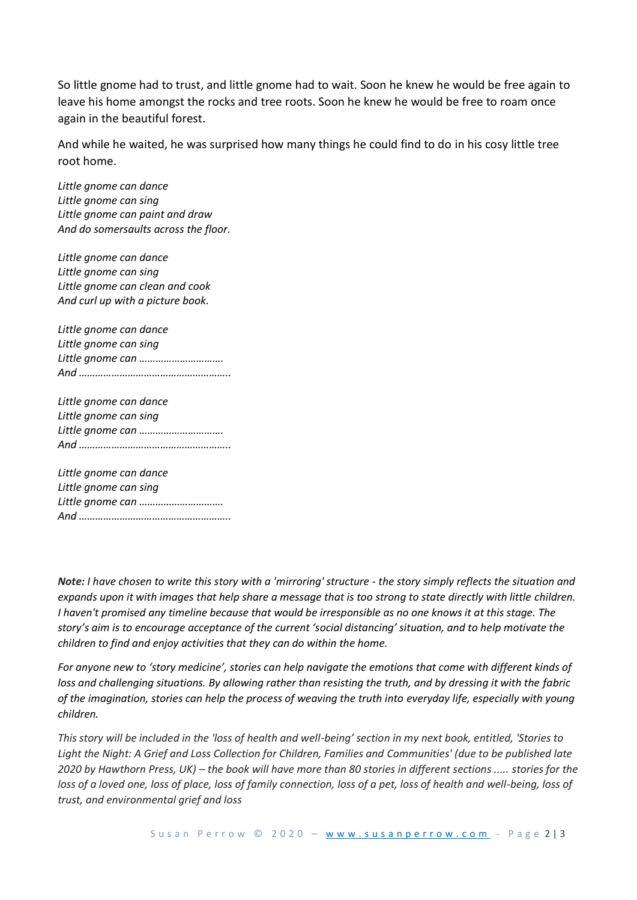So little gnome had to trust, and little gnome had to wait. Soon he knew he would be free again to leave his home amongst the rocks and tree roots. Soon he knew he would be free to roam once again in the beautiful forest.

And while he waited, he was surprised how many things he could find to do in his cosy little tree root home.

*Little gnome can dance Little gnome can sing Little gnome can paint and draw And do somersaults across the floor.*

*Little gnome can dance Little gnome can sing Little gnome can clean and cook And curl up with a picture book.*

*Little gnome can dance Little gnome can sing Little gnome can …………………………. And ………………………………………………..*

*Little gnome can dance Little gnome can sing Little gnome can …………………………. And ………………………………………………..*

*Little gnome can dance Little gnome can sing Little gnome can …………………………. And ………………………………………………..*

*Note: I have chosen to write this story with a 'mirroring' structure - the story simply reflects the situation and expands upon it with images that help share a message that is too strong to state directly with little children. I haven't promised any timeline because that would be irresponsible as no one knows it at this stage. The story's aim is to encourage acceptance of the current 'social distancing' situation, and to help motivate the children to find and enjoy activities that they can do within the home.*

*For anyone new to 'story medicine', stories can help navigate the emotions that come with different kinds of loss and challenging situations. By allowing rather than resisting the truth, and by dressing it with the fabric of the imagination, stories can help the process of weaving the truth into everyday life, especially with young children.*

*This story will be included in the 'loss of health and well-being' section in my next book, entitled, 'Stories to Light the Night: A Grief and Loss Collection for Children, Families and Communities' (due to be published late 2020 by Hawthorn Press, UK) – the book will have more than 80 stories in different sections ..... stories for the loss of a loved one, loss of place, loss of family connection, loss of a pet, loss of health and well-being, loss of trust, and environmental grief and loss*